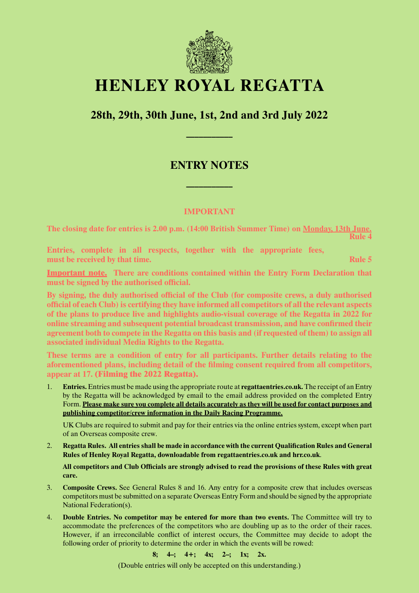

# **HENLEY ROYAL REGATTA**

## **28th, 29th, 30th June, 1st, 2nd and 3rd July 2022**

**–––––––––––**

### **ENTRY NOTES**

**–––––––––––**

#### **IMPORTANT**

**The closing date for entries is 2.00 p.m. (14:00 British Summer Time) on Monday, 13th June. Rule 4**

**Entries, complete in all respects, together with the appropriate fees, must be received by that time. Rule 5** *must be received by that time.* 

**Important note. There are conditions contained within the Entry Form Declaration that must be signed by the authorised official.**

**By signing, the duly authorised official of the Club (for composite crews, a duly authorised official of each Club) is certifying they have informed all competitors of all the relevant aspects of the plans to produce live and highlights audio-visual coverage of the Regatta in 2022 for online streaming and subsequent potential broadcast transmission, and have confirmed their agreement both to compete in the Regatta on this basis and (if requested of them) to assign all associated individual Media Rights to the Regatta.**

**These terms are a condition of entry for all participants. Further details relating to the aforementioned plans, including detail of the filming consent required from all competitors, appear at 17. (Filming the 2022 Regatta).**

1. **Entries.** Entries must be made using the appropriate route at **regattaentries.co.uk.** The receipt of an Entry by the Regatta will be acknowledged by email to the email address provided on the completed Entry Form. **Please make sure you complete all details accurately as they will be used for contact purposes and publishing competitor/crew information in the Daily Racing Programme.**

UK Clubs are required to submit and pay for their entries via the online entries system, except when part of an Overseas composite crew.

2. **Regatta Rules. All entries shall be made in accordance with the current Qualification Rules and General Rules of Henley Royal Regatta, downloadable from regattaentries.co.uk and hrr.co.uk**.

**All competitors and Club Officials are strongly advised to read the provisions of these Rules with great care.**

- 3. **Composite Crews.** See General Rules 8 and 16. Any entry for a composite crew that includes overseas competitors must be submitted on a separate Overseas Entry Form and should be signed by the appropriate National Federation(s).
- 4. **Double Entries. No competitor may be entered for more than two events.** The Committee will try to accommodate the preferences of the competitors who are doubling up as to the order of their races. However, if an irreconcilable conflict of interest occurs, the Committee may decide to adopt the following order of priority to determine the order in which the events will be rowed:

**8; 4–; 4+; 4x; 2–; 1x; 2x.**

(Double entries will only be accepted on this understanding.)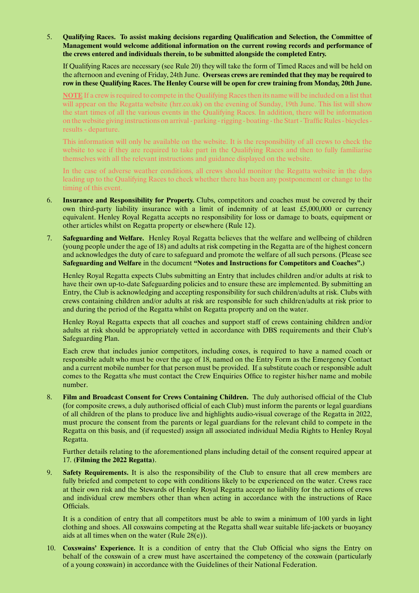5. **Qualifying Races. To assist making decisions regarding Qualification and Selection, the Committee of Management would welcome additional information on the current rowing records and performance of the crews entered and individuals therein, to be submitted alongside the completed Entry.**

If Qualifying Races are necessary (see Rule 20) they will take the form of Timed Races and will be held on the afternoon and evening of Friday, 24th June. **Overseas crews are reminded that they may be required to row in these Qualifying Races. The Henley Course will be open for crew training from Monday, 20th June.** 

**NOTE** If a crew is required to compete in the Qualifying Races then its name will be included on a list that will appear on the Regatta website (hrr.co.uk) on the evening of Sunday, 19th June. This list will show the start times of all the various events in the Qualifying Races. In addition, there will be information on the website giving instructions on arrival - parking - rigging - boating - the Start - Traffic Rules - bicycles results - departure.

This information will only be available on the website. It is the responsibility of all crews to check the website to see if they are required to take part in the Qualifying Races and then to fully familiarise themselves with all the relevant instructions and guidance displayed on the website.

In the case of adverse weather conditions, all crews should monitor the Regatta website in the days leading up to the Qualifying Races to check whether there has been any postponement or change to the timing of this event.

- 6. **Insurance and Responsibility for Property.** Clubs, competitors and coaches must be covered by their own third-party liability insurance with a limit of indemnity of at least £5,000,000 or currency equivalent. Henley Royal Regatta accepts no responsibility for loss or damage to boats, equipment or other articles whilst on Regatta property or elsewhere (Rule 12).
- 7. **Safeguarding and Welfare.** Henley Royal Regatta believes that the welfare and wellbeing of children (young people under the age of 18) and adults at risk competing in the Regatta are of the highest concern and acknowledges the duty of care to safeguard and promote the welfare of all such persons. (Please see **Safeguarding and Welfare** in the document **"Notes and Instructions for Competitors and Coaches".)**

Henley Royal Regatta expects Clubs submitting an Entry that includes children and/or adults at risk to have their own up-to-date Safeguarding policies and to ensure these are implemented. By submitting an Entry, the Club is acknowledging and accepting responsibility for such children/adults at risk. Clubs with crews containing children and/or adults at risk are responsible for such children/adults at risk prior to and during the period of the Regatta whilst on Regatta property and on the water.

Henley Royal Regatta expects that all coaches and support staff of crews containing children and/or adults at risk should be appropriately vetted in accordance with DBS requirements and their Club's Safeguarding Plan.

Each crew that includes junior competitors, including coxes, is required to have a named coach or responsible adult who must be over the age of 18, named on the Entry Form as the Emergency Contact and a current mobile number for that person must be provided. If a substitute coach or responsible adult comes to the Regatta s/he must contact the Crew Enquiries Office to register his/her name and mobile number.

8. **Film and Broadcast Consent for Crews Containing Children.** The duly authorised official of the Club (for composite crews, a duly authorised official of each Club) must inform the parents or legal guardians of all children of the plans to produce live and highlights audio-visual coverage of the Regatta in 2022, must procure the consent from the parents or legal guardians for the relevant child to compete in the Regatta on this basis, and (if requested) assign all associated individual Media Rights to Henley Royal Regatta.

Further details relating to the aforementioned plans including detail of the consent required appear at 17. **(Filming the 2022 Regatta)**.

9. **Safety Requirements.** It is also the responsibility of the Club to ensure that all crew members are fully briefed and competent to cope with conditions likely to be experienced on the water. Crews race at their own risk and the Stewards of Henley Royal Regatta accept no liability for the actions of crews and individual crew members other than when acting in accordance with the instructions of Race Officials.

It is a condition of entry that all competitors must be able to swim a minimum of 100 yards in light clothing and shoes. All coxswains competing at the Regatta shall wear suitable life-jackets or buoyancy aids at all times when on the water (Rule 28(e)).

10. **Coxswains' Experience.** It is a condition of entry that the Club Official who signs the Entry on behalf of the coxswain of a crew must have ascertained the competency of the coxswain (particularly of a young coxswain) in accordance with the Guidelines of their National Federation.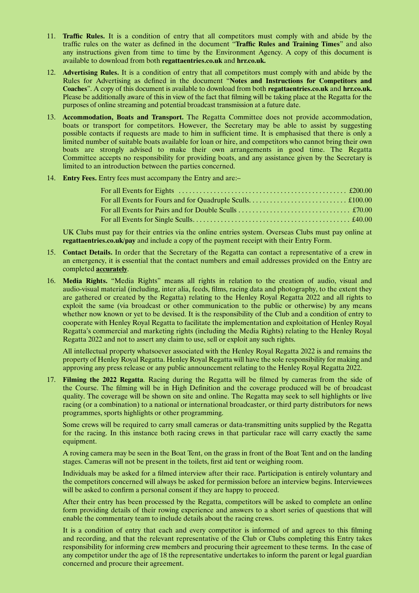- 11. **Traffic Rules.** It is a condition of entry that all competitors must comply with and abide by the traffic rules on the water as defined in the document "**Traffic Rules and Training Times**" and also any instructions given from time to time by the Environment Agency. A copy of this document is available to download from both **regattaentries.co.uk** and **hrr.co.uk.**
- 12. **Advertising Rules.** It is a condition of entry that all competitors must comply with and abide by the Rules for Advertising as defined in the document "**Notes and Instructions for Competitors and Coaches**". A copy of this document is available to download from both **regattaentries.co.uk** and **hrr.co.uk.** Please be additionally aware of this in view of the fact that filming will be taking place at the Regatta for the purposes of online streaming and potential broadcast transmission at a future date.
- 13. **Accommodation, Boats and Transport.** The Regatta Committee does not provide accommodation, boats or transport for competitors. However, the Secretary may be able to assist by suggesting possible contacts if requests are made to him in sufficient time. It is emphasised that there is only a limited number of suitable boats available for loan or hire, and competitors who cannot bring their own boats are strongly advised to make their own arrangements in good time. The Regatta Committee accepts no responsibility for providing boats, and any assistance given by the Secretary is limited to an introduction between the parties concerned.
- 14. **Entry Fees.** Entry fees must accompany the Entry and are:–

UK Clubs must pay for their entries via the online entries system. Overseas Clubs must pay online at **regattaentries.co.uk/pay** and include a copy of the payment receipt with their Entry Form.

- 15. **Contact Details.** In order that the Secretary of the Regatta can contact a representative of a crew in an emergency, it is essential that the contact numbers and email addresses provided on the Entry are completed **accurately**.
- 16. **Media Rights.** "Media Rights" means all rights in relation to the creation of audio, visual and audio-visual material (including, inter alia, feeds, films, racing data and photography, to the extent they are gathered or created by the Regatta) relating to the Henley Royal Regatta 2022 and all rights to exploit the same (via broadcast or other communication to the public or otherwise) by any means whether now known or yet to be devised. It is the responsibility of the Club and a condition of entry to cooperate with Henley Royal Regatta to facilitate the implementation and exploitation of Henley Royal Regatta's commercial and marketing rights (including the Media Rights) relating to the Henley Royal Regatta 2022 and not to assert any claim to use, sell or exploit any such rights.

All intellectual property whatsoever associated with the Henley Royal Regatta 2022 is and remains the property of Henley Royal Regatta. Henley Royal Regatta will have the sole responsibility for making and approving any press release or any public announcement relating to the Henley Royal Regatta 2022.

17. **Filming the 2022 Regatta**. Racing during the Regatta will be filmed by cameras from the side of the Course. The filming will be in High Definition and the coverage produced will be of broadcast quality. The coverage will be shown on site and online. The Regatta may seek to sell highlights or live racing (or a combination) to a national or international broadcaster, or third party distributors for news programmes, sports highlights or other programming.

Some crews will be required to carry small cameras or data-transmitting units supplied by the Regatta for the racing. In this instance both racing crews in that particular race will carry exactly the same equipment.

A roving camera may be seen in the Boat Tent, on the grass in front of the Boat Tent and on the landing stages. Cameras will not be present in the toilets, first aid tent or weighing room.

Individuals may be asked for a filmed interview after their race. Participation is entirely voluntary and the competitors concerned will always be asked for permission before an interview begins. Interviewees will be asked to confirm a personal consent if they are happy to proceed.

After their entry has been processed by the Regatta, competitors will be asked to complete an online form providing details of their rowing experience and answers to a short series of questions that will enable the commentary team to include details about the racing crews.

It is a condition of entry that each and every competitor is informed of and agrees to this filming and recording, and that the relevant representative of the Club or Clubs completing this Entry takes responsibility for informing crew members and procuring their agreement to these terms. In the case of any competitor under the age of 18 the representative undertakes to inform the parent or legal guardian concerned and procure their agreement.